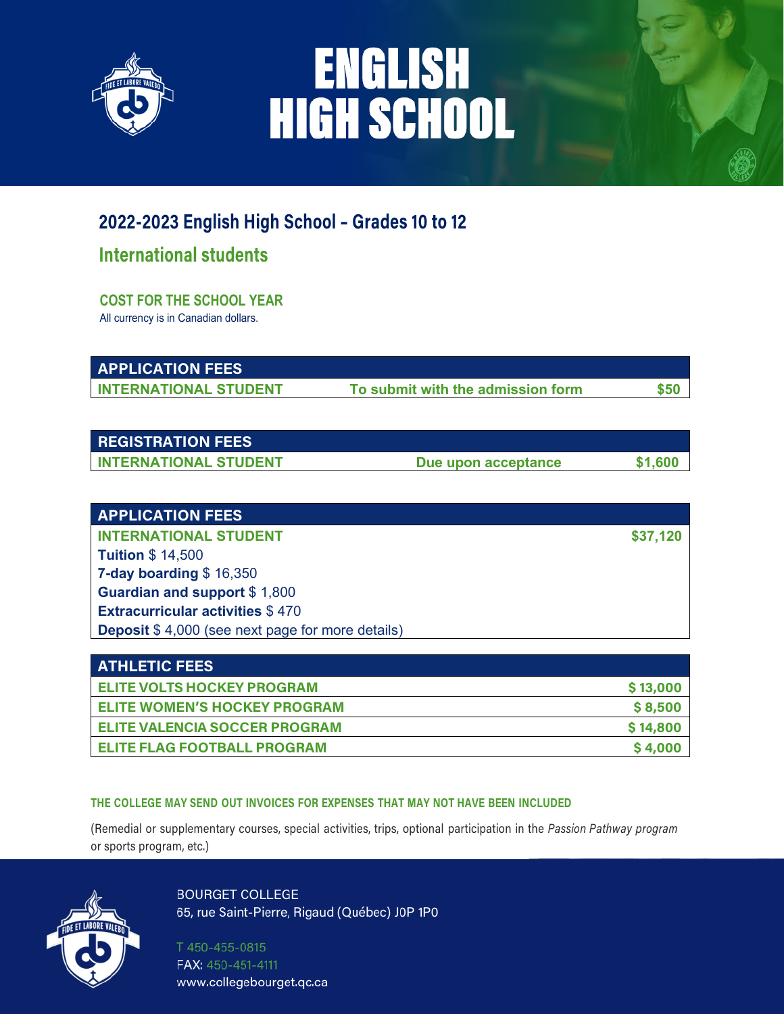

# ENGLISH<br>HIGH SCHOOL

### **2022-2023 English High School – Grades 10 to 12**

### **International students**

**COST FOR THE SCHOOL YEAR** All currency is in Canadian dollars.

**APPLICATION FEES** 

**INTERNATIONAL STUDENT** To submit with the admission form  $$50$ 

| <b>REGISTRATION FEES</b>       |                     |  |
|--------------------------------|---------------------|--|
| <b>I INTERNATIONAL STUDENT</b> | Due upon acceptance |  |

|  |  | <b>APPLICATION FEES</b> |
|--|--|-------------------------|
|  |  |                         |
|  |  |                         |

**INTERNATIONAL STUDENT \$37,120 Tuition** \$ 14,500 **7-day boarding** \$ 16,350 **Guardian and support** \$ 1,800 **Extracurricular activities** \$ 470 **Deposit** \$ 4,000 (see next page for more details)

| <b>ATHLETIC FEES</b>                 |          |
|--------------------------------------|----------|
| <b>ELITE VOLTS HOCKEY PROGRAM</b>    | \$13,000 |
| <b>ELITE WOMEN'S HOCKEY PROGRAM</b>  | \$8,500  |
| <b>ELITE VALENCIA SOCCER PROGRAM</b> | \$14,800 |
| <b>ELITE FLAG FOOTBALL PROGRAM</b>   | \$4,000  |

#### **THE COLLEGE MAY SEND OUT INVOICES FOR EXPENSES THAT MAY NOT HAVE BEEN INCLUDED**

(Remedial or supplementary courses, special activities, trips, optional participation in the *Passion Pathway program* or sports program, etc.)



**BOURGET COLLEGE** 65, rue Saint-Pierre, Rigaud (Québec) J0P 1P0

T450-455-0815 FAX: 450-451-4111 www.collegebourget.qc.ca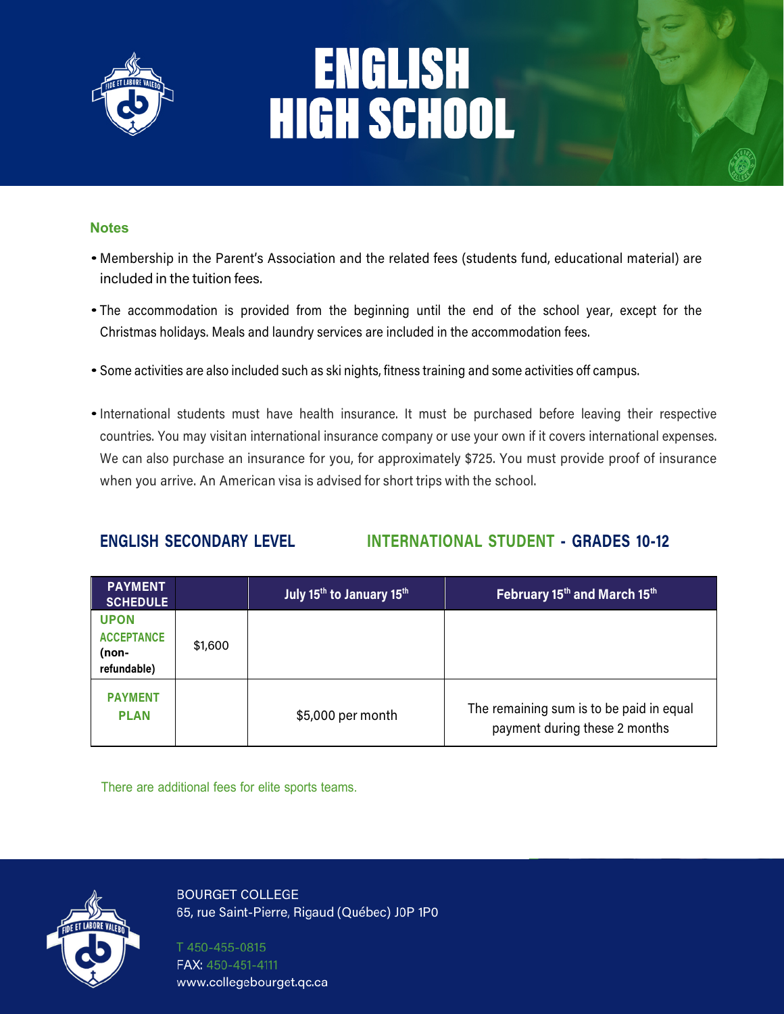

# ENGLISH<br>HIGH SCHOOL

#### **Notes**

- Membership in the Parent's Association and the related fees (students fund, educational material) are included in the tuition fees.
- The accommodation is provided from the beginning until the end of the school year, except for the Christmas holidays. Meals and laundry services are included in the accommodation fees.
- Some activities are also included such as ski nights, fitness training and some activities off campus.
- •International students must have health insurance. It must be purchased before leaving their respective countries. You may visitan international insurance company or use your own if it covers international expenses. We can also purchase an insurance for you, for approximately \$725. You must provide proof of insurance when you arrive. An American visa is advised for short trips with the school.

### **ENGLISH SECONDARY LEVEL INTERNATIONAL STUDENT - GRADES 10-12**

| <b>PAYMENT</b><br><b>SCHEDULE</b>                        |         | July 15 <sup>th</sup> to January 15 <sup>th</sup> | February 15th and March 15th                                              |
|----------------------------------------------------------|---------|---------------------------------------------------|---------------------------------------------------------------------------|
| <b>UPON</b><br><b>ACCEPTANCE</b><br>(non-<br>refundable) | \$1,600 |                                                   |                                                                           |
| <b>PAYMENT</b><br><b>PLAN</b>                            |         | \$5,000 per month                                 | The remaining sum is to be paid in equal<br>payment during these 2 months |

There are additional fees for elite sports teams.

**BOURGET COLLEGE** 65, rue Saint-Pierre, Rigaud (Québec) J0P 1P0

T450-455-0815 FAX: 450-451-4111 www.collegebourget.qc.ca